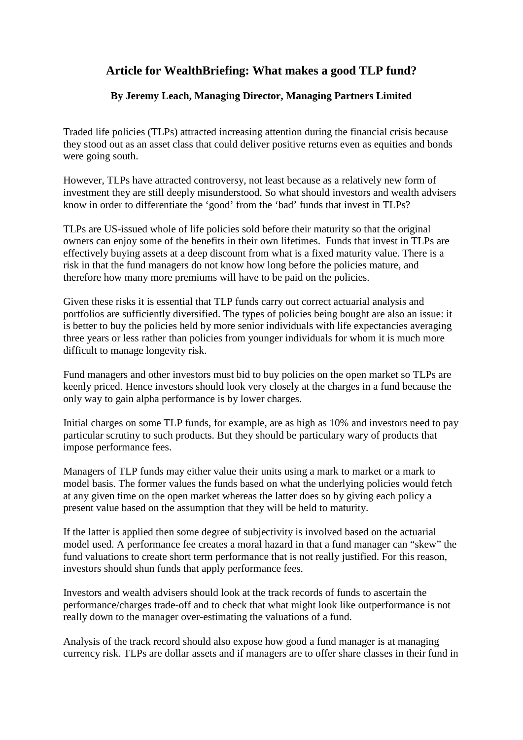## **Article for WealthBriefing: What makes a good TLP fund?**

## **By Jeremy Leach, Managing Director, Managing Partners Limited**

Traded life policies (TLPs) attracted increasing attention during the financial crisis because they stood out as an asset class that could deliver positive returns even as equities and bonds were going south.

However, TLPs have attracted controversy, not least because as a relatively new form of investment they are still deeply misunderstood. So what should investors and wealth advisers know in order to differentiate the 'good' from the 'bad' funds that invest in TLPs?

TLPs are US-issued whole of life policies sold before their maturity so that the original owners can enjoy some of the benefits in their own lifetimes. Funds that invest in TLPs are effectively buying assets at a deep discount from what is a fixed maturity value. There is a risk in that the fund managers do not know how long before the policies mature, and therefore how many more premiums will have to be paid on the policies.

Given these risks it is essential that TLP funds carry out correct actuarial analysis and portfolios are sufficiently diversified. The types of policies being bought are also an issue: it is better to buy the policies held by more senior individuals with life expectancies averaging three years or less rather than policies from younger individuals for whom it is much more difficult to manage longevity risk.

Fund managers and other investors must bid to buy policies on the open market so TLPs are keenly priced. Hence investors should look very closely at the charges in a fund because the only way to gain alpha performance is by lower charges.

Initial charges on some TLP funds, for example, are as high as 10% and investors need to pay particular scrutiny to such products. But they should be particulary wary of products that impose performance fees.

Managers of TLP funds may either value their units using a mark to market or a mark to model basis. The former values the funds based on what the underlying policies would fetch at any given time on the open market whereas the latter does so by giving each policy a present value based on the assumption that they will be held to maturity.

If the latter is applied then some degree of subjectivity is involved based on the actuarial model used. A performance fee creates a moral hazard in that a fund manager can "skew" the fund valuations to create short term performance that is not really justified. For this reason, investors should shun funds that apply performance fees.

Investors and wealth advisers should look at the track records of funds to ascertain the performance/charges trade-off and to check that what might look like outperformance is not really down to the manager over-estimating the valuations of a fund.

Analysis of the track record should also expose how good a fund manager is at managing currency risk. TLPs are dollar assets and if managers are to offer share classes in their fund in